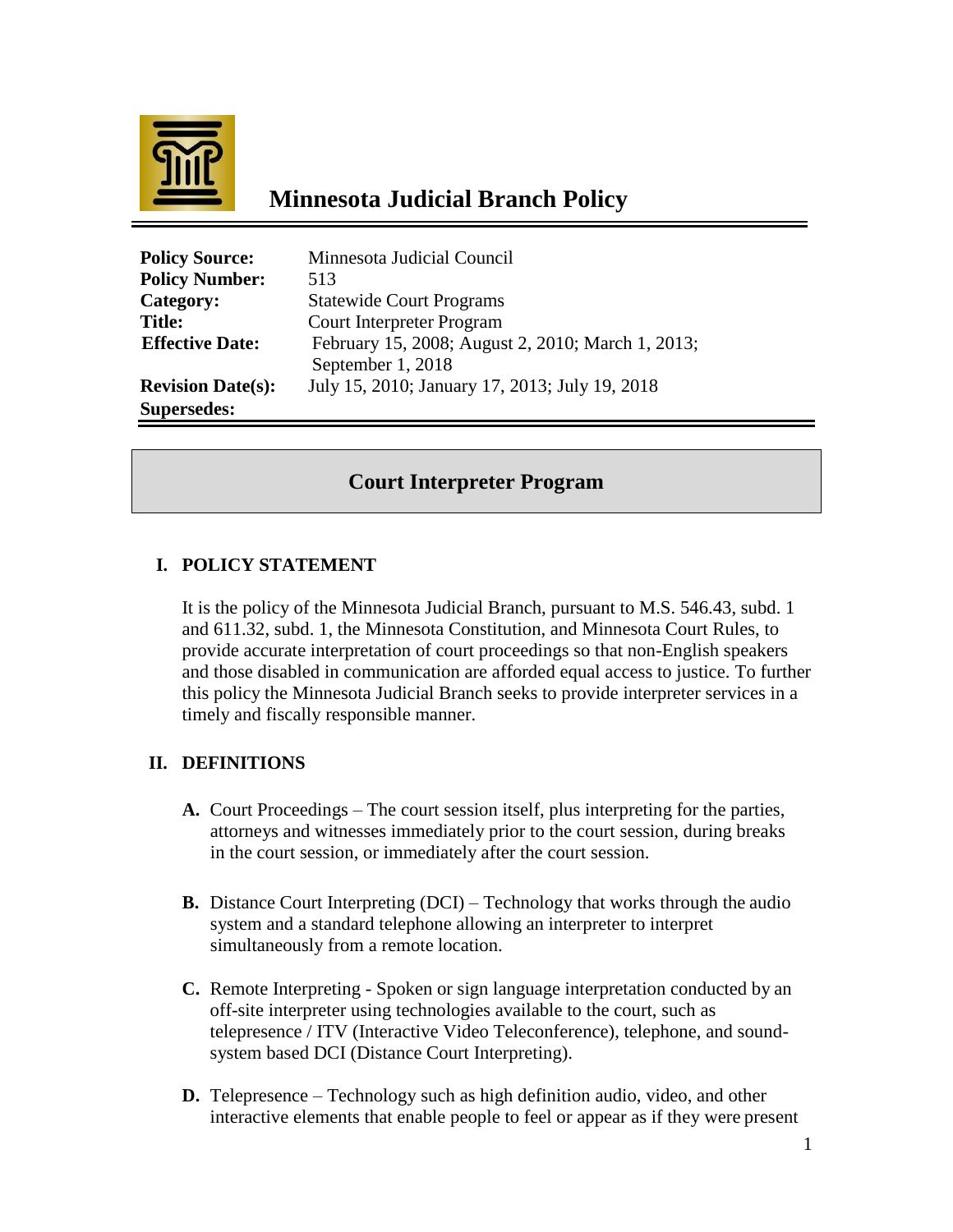

# **Minnesota Judicial Branch Policy**

| <b>Policy Source:</b>    | Minnesota Judicial Council                        |
|--------------------------|---------------------------------------------------|
| <b>Policy Number:</b>    | 513                                               |
| Category:                | <b>Statewide Court Programs</b>                   |
| <b>Title:</b>            | <b>Court Interpreter Program</b>                  |
| <b>Effective Date:</b>   | February 15, 2008; August 2, 2010; March 1, 2013; |
|                          | September 1, 2018                                 |
| <b>Revision Date(s):</b> | July 15, 2010; January 17, 2013; July 19, 2018    |
| <b>Supersedes:</b>       |                                                   |

# **Court Interpreter Program**

# **I. POLICY STATEMENT**

It is the policy of the Minnesota Judicial Branch, pursuant to M.S. 546.43, subd. 1 and 611.32, subd. 1, the Minnesota Constitution, and Minnesota Court Rules, to provide accurate interpretation of court proceedings so that non-English speakers and those disabled in communication are afforded equal access to justice. To further this policy the Minnesota Judicial Branch seeks to provide interpreter services in a timely and fiscally responsible manner.

# **II. DEFINITIONS**

- **A.** Court Proceedings The court session itself, plus interpreting for the parties, attorneys and witnesses immediately prior to the court session, during breaks in the court session, or immediately after the court session.
- **B.** Distance Court Interpreting (DCI) Technology that works through the audio system and a standard telephone allowing an interpreter to interpret simultaneously from a remote location.
- **C.** Remote Interpreting Spoken or sign language interpretation conducted by an off-site interpreter using technologies available to the court, such as telepresence / ITV (Interactive Video Teleconference), telephone, and soundsystem based DCI (Distance Court Interpreting).
- **D.** Telepresence Technology such as high definition audio, video, and other interactive elements that enable people to feel or appear as if they were present